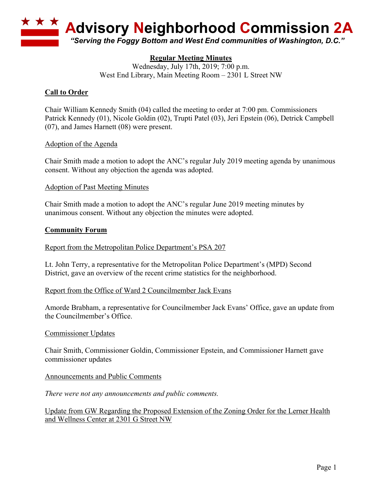

## **Regular Meeting Minutes**

Wednesday, July 17th, 2019; 7:00 p.m. West End Library, Main Meeting Room – 2301 L Street NW

# **Call to Order**

Chair William Kennedy Smith (04) called the meeting to order at 7:00 pm. Commissioners Patrick Kennedy (01), Nicole Goldin (02), Trupti Patel (03), Jeri Epstein (06), Detrick Campbell (07), and James Harnett (08) were present.

#### Adoption of the Agenda

Chair Smith made a motion to adopt the ANC's regular July 2019 meeting agenda by unanimous consent. Without any objection the agenda was adopted.

#### Adoption of Past Meeting Minutes

Chair Smith made a motion to adopt the ANC's regular June 2019 meeting minutes by unanimous consent. Without any objection the minutes were adopted.

#### **Community Forum**

#### Report from the Metropolitan Police Department's PSA 207

Lt. John Terry, a representative for the Metropolitan Police Department's (MPD) Second District, gave an overview of the recent crime statistics for the neighborhood.

#### Report from the Office of Ward 2 Councilmember Jack Evans

Amorde Brabham, a representative for Councilmember Jack Evans' Office, gave an update from the Councilmember's Office.

#### Commissioner Updates

Chair Smith, Commissioner Goldin, Commissioner Epstein, and Commissioner Harnett gave commissioner updates

#### Announcements and Public Comments

*There were not any announcements and public comments.*

Update from GW Regarding the Proposed Extension of the Zoning Order for the Lerner Health and Wellness Center at 2301 G Street NW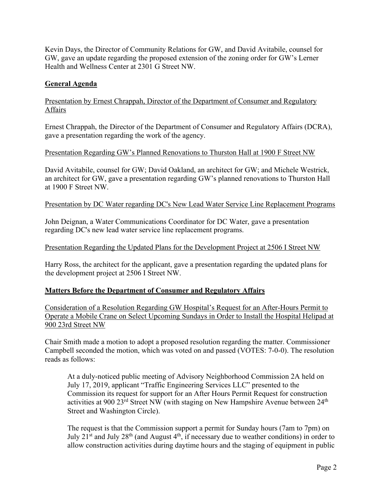Kevin Days, the Director of Community Relations for GW, and David Avitabile, counsel for GW, gave an update regarding the proposed extension of the zoning order for GW's Lerner Health and Wellness Center at 2301 G Street NW.

# **General Agenda**

# Presentation by Ernest Chrappah, Director of the Department of Consumer and Regulatory Affairs

Ernest Chrappah, the Director of the Department of Consumer and Regulatory Affairs (DCRA), gave a presentation regarding the work of the agency.

## Presentation Regarding GW's Planned Renovations to Thurston Hall at 1900 F Street NW

David Avitabile, counsel for GW; David Oakland, an architect for GW; and Michele Westrick, an architect for GW, gave a presentation regarding GW's planned renovations to Thurston Hall at 1900 F Street NW.

## Presentation by DC Water regarding DC's New Lead Water Service Line Replacement Programs

John Deignan, a Water Communications Coordinator for DC Water, gave a presentation regarding DC's new lead water service line replacement programs.

## Presentation Regarding the Updated Plans for the Development Project at 2506 I Street NW

Harry Ross, the architect for the applicant, gave a presentation regarding the updated plans for the development project at 2506 I Street NW.

## **Matters Before the Department of Consumer and Regulatory Affairs**

Consideration of a Resolution Regarding GW Hospital's Request for an After-Hours Permit to Operate a Mobile Crane on Select Upcoming Sundays in Order to Install the Hospital Helipad at 900 23rd Street NW

Chair Smith made a motion to adopt a proposed resolution regarding the matter. Commissioner Campbell seconded the motion, which was voted on and passed (VOTES: 7-0-0). The resolution reads as follows:

At a duly-noticed public meeting of Advisory Neighborhood Commission 2A held on July 17, 2019, applicant "Traffic Engineering Services LLC" presented to the Commission its request for support for an After Hours Permit Request for construction activities at 900 23<sup>rd</sup> Street NW (with staging on New Hampshire Avenue between 24<sup>th</sup> Street and Washington Circle).

The request is that the Commission support a permit for Sunday hours (7am to 7pm) on July  $21<sup>st</sup>$  and July  $28<sup>th</sup>$  (and August  $4<sup>th</sup>$ , if necessary due to weather conditions) in order to allow construction activities during daytime hours and the staging of equipment in public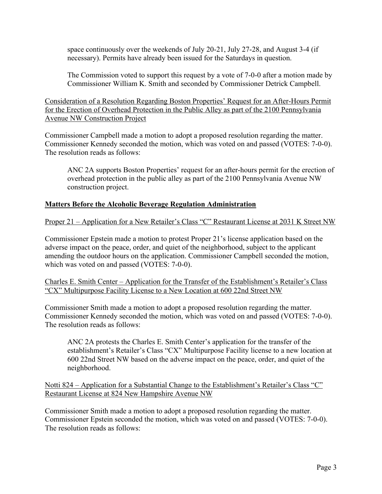space continuously over the weekends of July 20-21, July 27-28, and August 3-4 (if necessary). Permits have already been issued for the Saturdays in question.

The Commission voted to support this request by a vote of 7-0-0 after a motion made by Commissioner William K. Smith and seconded by Commissioner Detrick Campbell.

Consideration of a Resolution Regarding Boston Properties' Request for an After-Hours Permit for the Erection of Overhead Protection in the Public Alley as part of the 2100 Pennsylvania Avenue NW Construction Project

Commissioner Campbell made a motion to adopt a proposed resolution regarding the matter. Commissioner Kennedy seconded the motion, which was voted on and passed (VOTES: 7-0-0). The resolution reads as follows:

ANC 2A supports Boston Properties' request for an after-hours permit for the erection of overhead protection in the public alley as part of the 2100 Pennsylvania Avenue NW construction project.

#### **Matters Before the Alcoholic Beverage Regulation Administration**

Proper 21 – Application for a New Retailer's Class "C" Restaurant License at 2031 K Street NW

Commissioner Epstein made a motion to protest Proper 21's license application based on the adverse impact on the peace, order, and quiet of the neighborhood, subject to the applicant amending the outdoor hours on the application. Commissioner Campbell seconded the motion, which was voted on and passed (VOTES: 7-0-0).

Charles E. Smith Center – Application for the Transfer of the Establishment's Retailer's Class "CX" Multipurpose Facility License to a New Location at 600 22nd Street NW

Commissioner Smith made a motion to adopt a proposed resolution regarding the matter. Commissioner Kennedy seconded the motion, which was voted on and passed (VOTES: 7-0-0). The resolution reads as follows:

ANC 2A protests the Charles E. Smith Center's application for the transfer of the establishment's Retailer's Class "CX" Multipurpose Facility license to a new location at 600 22nd Street NW based on the adverse impact on the peace, order, and quiet of the neighborhood.

Notti 824 – Application for a Substantial Change to the Establishment's Retailer's Class "C" Restaurant License at 824 New Hampshire Avenue NW

Commissioner Smith made a motion to adopt a proposed resolution regarding the matter. Commissioner Epstein seconded the motion, which was voted on and passed (VOTES: 7-0-0). The resolution reads as follows: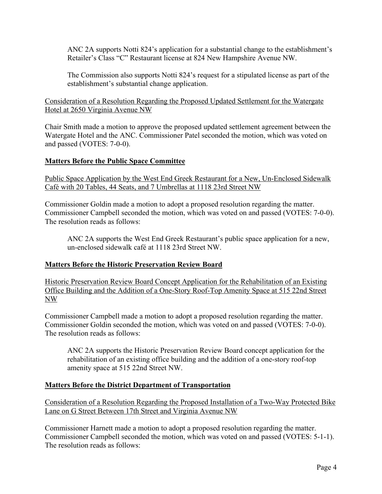ANC 2A supports Notti 824's application for a substantial change to the establishment's Retailer's Class "C" Restaurant license at 824 New Hampshire Avenue NW.

The Commission also supports Notti 824's request for a stipulated license as part of the establishment's substantial change application.

Consideration of a Resolution Regarding the Proposed Updated Settlement for the Watergate Hotel at 2650 Virginia Avenue NW

Chair Smith made a motion to approve the proposed updated settlement agreement between the Watergate Hotel and the ANC. Commissioner Patel seconded the motion, which was voted on and passed (VOTES: 7-0-0).

## **Matters Before the Public Space Committee**

Public Space Application by the West End Greek Restaurant for a New, Un-Enclosed Sidewalk Café with 20 Tables, 44 Seats, and 7 Umbrellas at 1118 23rd Street NW

Commissioner Goldin made a motion to adopt a proposed resolution regarding the matter. Commissioner Campbell seconded the motion, which was voted on and passed (VOTES: 7-0-0). The resolution reads as follows:

ANC 2A supports the West End Greek Restaurant's public space application for a new, un-enclosed sidewalk café at 1118 23rd Street NW.

#### **Matters Before the Historic Preservation Review Board**

Historic Preservation Review Board Concept Application for the Rehabilitation of an Existing Office Building and the Addition of a One-Story Roof-Top Amenity Space at 515 22nd Street NW

Commissioner Campbell made a motion to adopt a proposed resolution regarding the matter. Commissioner Goldin seconded the motion, which was voted on and passed (VOTES: 7-0-0). The resolution reads as follows:

ANC 2A supports the Historic Preservation Review Board concept application for the rehabilitation of an existing office building and the addition of a one-story roof-top amenity space at 515 22nd Street NW.

## **Matters Before the District Department of Transportation**

Consideration of a Resolution Regarding the Proposed Installation of a Two-Way Protected Bike Lane on G Street Between 17th Street and Virginia Avenue NW

Commissioner Harnett made a motion to adopt a proposed resolution regarding the matter. Commissioner Campbell seconded the motion, which was voted on and passed (VOTES: 5-1-1). The resolution reads as follows: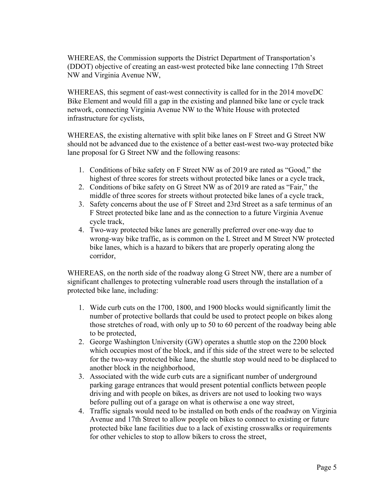WHEREAS, the Commission supports the District Department of Transportation's (DDOT) objective of creating an east-west protected bike lane connecting 17th Street NW and Virginia Avenue NW,

WHEREAS, this segment of east-west connectivity is called for in the 2014 moveDC Bike Element and would fill a gap in the existing and planned bike lane or cycle track network, connecting Virginia Avenue NW to the White House with protected infrastructure for cyclists,

WHEREAS, the existing alternative with split bike lanes on F Street and G Street NW should not be advanced due to the existence of a better east-west two-way protected bike lane proposal for G Street NW and the following reasons:

- 1. Conditions of bike safety on F Street NW as of 2019 are rated as "Good," the highest of three scores for streets without protected bike lanes or a cycle track,
- 2. Conditions of bike safety on G Street NW as of 2019 are rated as "Fair," the middle of three scores for streets without protected bike lanes of a cycle track,
- 3. Safety concerns about the use of F Street and 23rd Street as a safe terminus of an F Street protected bike lane and as the connection to a future Virginia Avenue cycle track,
- 4. Two-way protected bike lanes are generally preferred over one-way due to wrong-way bike traffic, as is common on the L Street and M Street NW protected bike lanes, which is a hazard to bikers that are properly operating along the corridor,

WHEREAS, on the north side of the roadway along G Street NW, there are a number of significant challenges to protecting vulnerable road users through the installation of a protected bike lane, including:

- 1. Wide curb cuts on the 1700, 1800, and 1900 blocks would significantly limit the number of protective bollards that could be used to protect people on bikes along those stretches of road, with only up to 50 to 60 percent of the roadway being able to be protected,
- 2. George Washington University (GW) operates a shuttle stop on the 2200 block which occupies most of the block, and if this side of the street were to be selected for the two-way protected bike lane, the shuttle stop would need to be displaced to another block in the neighborhood,
- 3. Associated with the wide curb cuts are a significant number of underground parking garage entrances that would present potential conflicts between people driving and with people on bikes, as drivers are not used to looking two ways before pulling out of a garage on what is otherwise a one way street,
- 4. Traffic signals would need to be installed on both ends of the roadway on Virginia Avenue and 17th Street to allow people on bikes to connect to existing or future protected bike lane facilities due to a lack of existing crosswalks or requirements for other vehicles to stop to allow bikers to cross the street,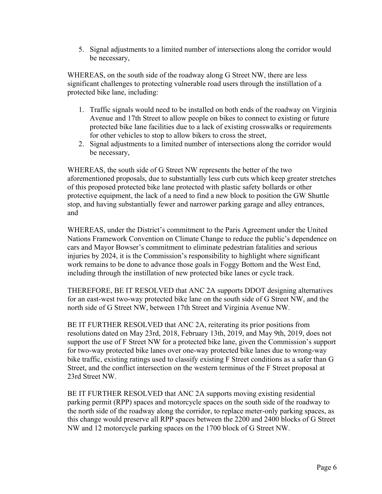5. Signal adjustments to a limited number of intersections along the corridor would be necessary,

WHEREAS, on the south side of the roadway along G Street NW, there are less significant challenges to protecting vulnerable road users through the instillation of a protected bike lane, including:

- 1. Traffic signals would need to be installed on both ends of the roadway on Virginia Avenue and 17th Street to allow people on bikes to connect to existing or future protected bike lane facilities due to a lack of existing crosswalks or requirements for other vehicles to stop to allow bikers to cross the street,
- 2. Signal adjustments to a limited number of intersections along the corridor would be necessary,

WHEREAS, the south side of G Street NW represents the better of the two aforementioned proposals, due to substantially less curb cuts which keep greater stretches of this proposed protected bike lane protected with plastic safety bollards or other protective equipment, the lack of a need to find a new block to position the GW Shuttle stop, and having substantially fewer and narrower parking garage and alley entrances, and

WHEREAS, under the District's commitment to the Paris Agreement under the United Nations Framework Convention on Climate Change to reduce the public's dependence on cars and Mayor Bowser's commitment to eliminate pedestrian fatalities and serious injuries by 2024, it is the Commission's responsibility to highlight where significant work remains to be done to advance those goals in Foggy Bottom and the West End, including through the instillation of new protected bike lanes or cycle track.

THEREFORE, BE IT RESOLVED that ANC 2A supports DDOT designing alternatives for an east-west two-way protected bike lane on the south side of G Street NW, and the north side of G Street NW, between 17th Street and Virginia Avenue NW.

BE IT FURTHER RESOLVED that ANC 2A, reiterating its prior positions from resolutions dated on May 23rd, 2018, February 13th, 2019, and May 9th, 2019, does not support the use of F Street NW for a protected bike lane, given the Commission's support for two-way protected bike lanes over one-way protected bike lanes due to wrong-way bike traffic, existing ratings used to classify existing F Street conditions as a safer than G Street, and the conflict intersection on the western terminus of the F Street proposal at 23rd Street NW.

BE IT FURTHER RESOLVED that ANC 2A supports moving existing residential parking permit (RPP) spaces and motorcycle spaces on the south side of the roadway to the north side of the roadway along the corridor, to replace meter-only parking spaces, as this change would preserve all RPP spaces between the 2200 and 2400 blocks of G Street NW and 12 motorcycle parking spaces on the 1700 block of G Street NW.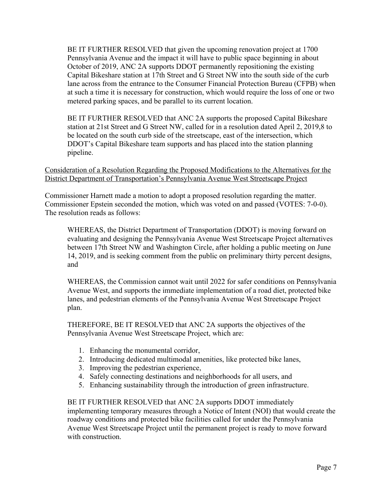BE IT FURTHER RESOLVED that given the upcoming renovation project at 1700 Pennsylvania Avenue and the impact it will have to public space beginning in about October of 2019, ANC 2A supports DDOT permanently repositioning the existing Capital Bikeshare station at 17th Street and G Street NW into the south side of the curb lane across from the entrance to the Consumer Financial Protection Bureau (CFPB) when at such a time it is necessary for construction, which would require the loss of one or two metered parking spaces, and be parallel to its current location.

BE IT FURTHER RESOLVED that ANC 2A supports the proposed Capital Bikeshare station at 21st Street and G Street NW, called for in a resolution dated April 2, 2019,8 to be located on the south curb side of the streetscape, east of the intersection, which DDOT's Capital Bikeshare team supports and has placed into the station planning pipeline.

#### Consideration of a Resolution Regarding the Proposed Modifications to the Alternatives for the District Department of Transportation's Pennsylvania Avenue West Streetscape Project

Commissioner Harnett made a motion to adopt a proposed resolution regarding the matter. Commissioner Epstein seconded the motion, which was voted on and passed (VOTES: 7-0-0). The resolution reads as follows:

WHEREAS, the District Department of Transportation (DDOT) is moving forward on evaluating and designing the Pennsylvania Avenue West Streetscape Project alternatives between 17th Street NW and Washington Circle, after holding a public meeting on June 14, 2019, and is seeking comment from the public on preliminary thirty percent designs, and

WHEREAS, the Commission cannot wait until 2022 for safer conditions on Pennsylvania Avenue West, and supports the immediate implementation of a road diet, protected bike lanes, and pedestrian elements of the Pennsylvania Avenue West Streetscape Project plan.

THEREFORE, BE IT RESOLVED that ANC 2A supports the objectives of the Pennsylvania Avenue West Streetscape Project, which are:

- 1. Enhancing the monumental corridor,
- 2. Introducing dedicated multimodal amenities, like protected bike lanes,
- 3. Improving the pedestrian experience,
- 4. Safely connecting destinations and neighborhoods for all users, and
- 5. Enhancing sustainability through the introduction of green infrastructure.

BE IT FURTHER RESOLVED that ANC 2A supports DDOT immediately implementing temporary measures through a Notice of Intent (NOI) that would create the roadway conditions and protected bike facilities called for under the Pennsylvania Avenue West Streetscape Project until the permanent project is ready to move forward with construction.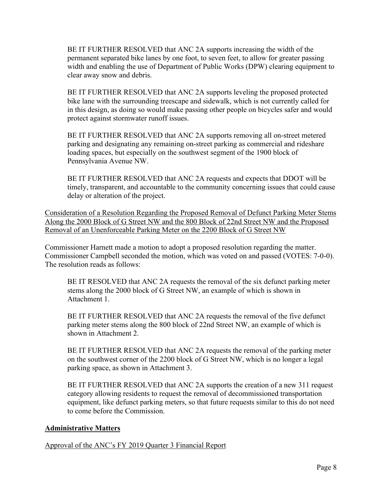BE IT FURTHER RESOLVED that ANC 2A supports increasing the width of the permanent separated bike lanes by one foot, to seven feet, to allow for greater passing width and enabling the use of Department of Public Works (DPW) clearing equipment to clear away snow and debris.

BE IT FURTHER RESOLVED that ANC 2A supports leveling the proposed protected bike lane with the surrounding treescape and sidewalk, which is not currently called for in this design, as doing so would make passing other people on bicycles safer and would protect against stormwater runoff issues.

BE IT FURTHER RESOLVED that ANC 2A supports removing all on-street metered parking and designating any remaining on-street parking as commercial and rideshare loading spaces, but especially on the southwest segment of the 1900 block of Pennsylvania Avenue NW.

BE IT FURTHER RESOLVED that ANC 2A requests and expects that DDOT will be timely, transparent, and accountable to the community concerning issues that could cause delay or alteration of the project.

Consideration of a Resolution Regarding the Proposed Removal of Defunct Parking Meter Stems Along the 2000 Block of G Street NW and the 800 Block of 22nd Street NW and the Proposed Removal of an Unenforceable Parking Meter on the 2200 Block of G Street NW

Commissioner Harnett made a motion to adopt a proposed resolution regarding the matter. Commissioner Campbell seconded the motion, which was voted on and passed (VOTES: 7-0-0). The resolution reads as follows:

BE IT RESOLVED that ANC 2A requests the removal of the six defunct parking meter stems along the 2000 block of G Street NW, an example of which is shown in Attachment 1.

BE IT FURTHER RESOLVED that ANC 2A requests the removal of the five defunct parking meter stems along the 800 block of 22nd Street NW, an example of which is shown in Attachment 2.

BE IT FURTHER RESOLVED that ANC 2A requests the removal of the parking meter on the southwest corner of the 2200 block of G Street NW, which is no longer a legal parking space, as shown in Attachment 3.

BE IT FURTHER RESOLVED that ANC 2A supports the creation of a new 311 request category allowing residents to request the removal of decommissioned transportation equipment, like defunct parking meters, so that future requests similar to this do not need to come before the Commission.

## **Administrative Matters**

Approval of the ANC's FY 2019 Quarter 3 Financial Report